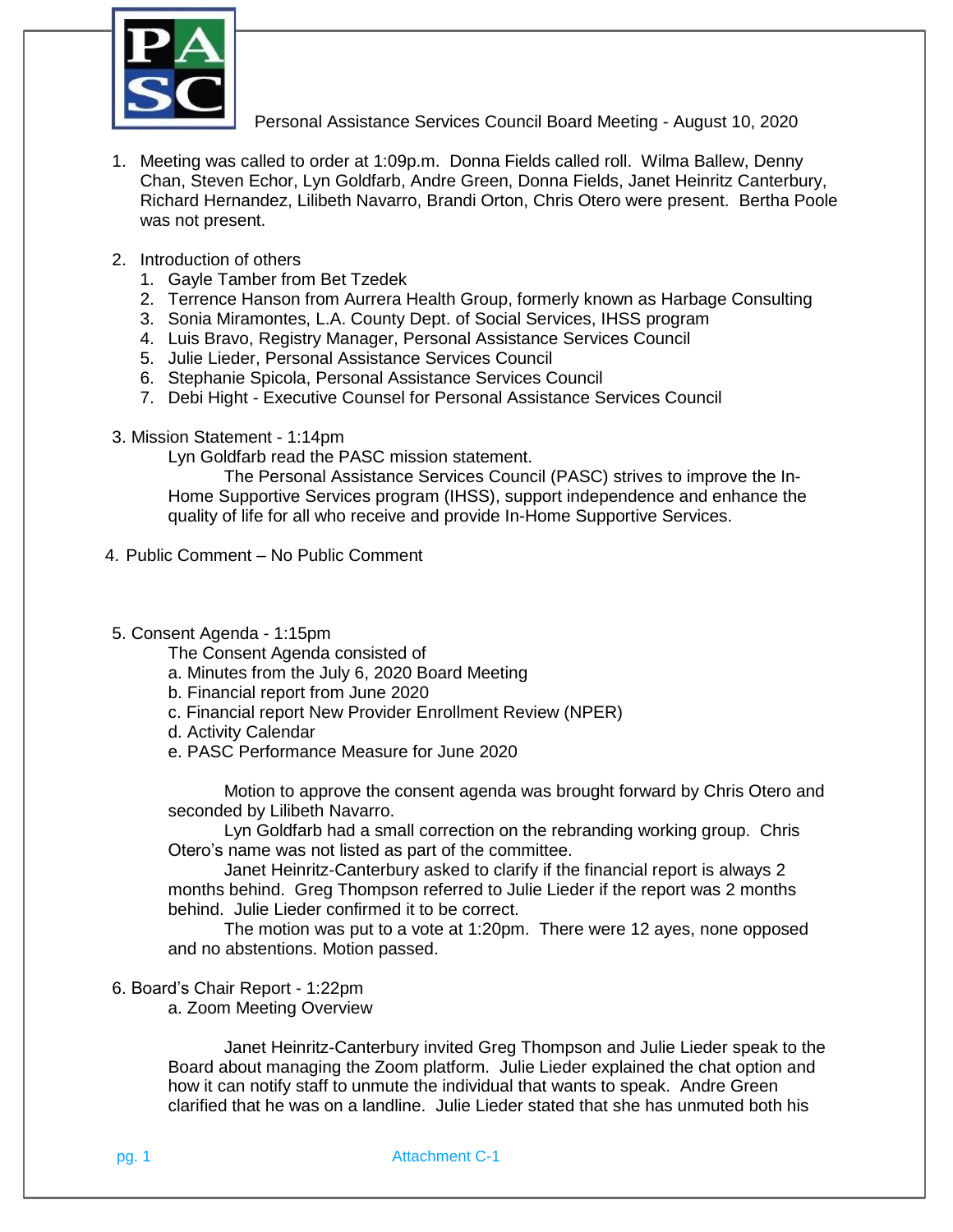

Personal Assistance Services Council Board Meeting - August 10, 2020

- 1. Meeting was called to order at 1:09p.m. Donna Fields called roll. Wilma Ballew, Denny Chan, Steven Echor, Lyn Goldfarb, Andre Green, Donna Fields, Janet Heinritz Canterbury, Richard Hernandez, Lilibeth Navarro, Brandi Orton, Chris Otero were present. Bertha Poole was not present.
- 2. Introduction of others
	- 1. Gayle Tamber from Bet Tzedek
	- 2. Terrence Hanson from Aurrera Health Group, formerly known as Harbage Consulting
	- 3. Sonia Miramontes, L.A. County Dept. of Social Services, IHSS program
	- 4. Luis Bravo, Registry Manager, Personal Assistance Services Council
	- 5. Julie Lieder, Personal Assistance Services Council
	- 6. Stephanie Spicola, Personal Assistance Services Council
	- 7. Debi Hight Executive Counsel for Personal Assistance Services Council
- 3. Mission Statement 1:14pm

Lyn Goldfarb read the PASC mission statement.

The Personal Assistance Services Council (PASC) strives to improve the In-Home Supportive Services program (IHSS), support independence and enhance the quality of life for all who receive and provide In-Home Supportive Services.

- 4. Public Comment No Public Comment
- 5. Consent Agenda 1:15pm

The Consent Agenda consisted of

- a. Minutes from the July 6, 2020 Board Meeting
- b. Financial report from June 2020
- c. Financial report New Provider Enrollment Review (NPER)
- d. Activity Calendar
- e. PASC Performance Measure for June 2020

Motion to approve the consent agenda was brought forward by Chris Otero and seconded by Lilibeth Navarro.

Lyn Goldfarb had a small correction on the rebranding working group. Chris Otero's name was not listed as part of the committee.

Janet Heinritz-Canterbury asked to clarify if the financial report is always 2 months behind. Greg Thompson referred to Julie Lieder if the report was 2 months behind. Julie Lieder confirmed it to be correct.

The motion was put to a vote at 1:20pm. There were 12 ayes, none opposed and no abstentions. Motion passed.

6. Board's Chair Report - 1:22pm

a. Zoom Meeting Overview

Janet Heinritz-Canterbury invited Greg Thompson and Julie Lieder speak to the Board about managing the Zoom platform. Julie Lieder explained the chat option and how it can notify staff to unmute the individual that wants to speak. Andre Green clarified that he was on a landline. Julie Lieder stated that she has unmuted both his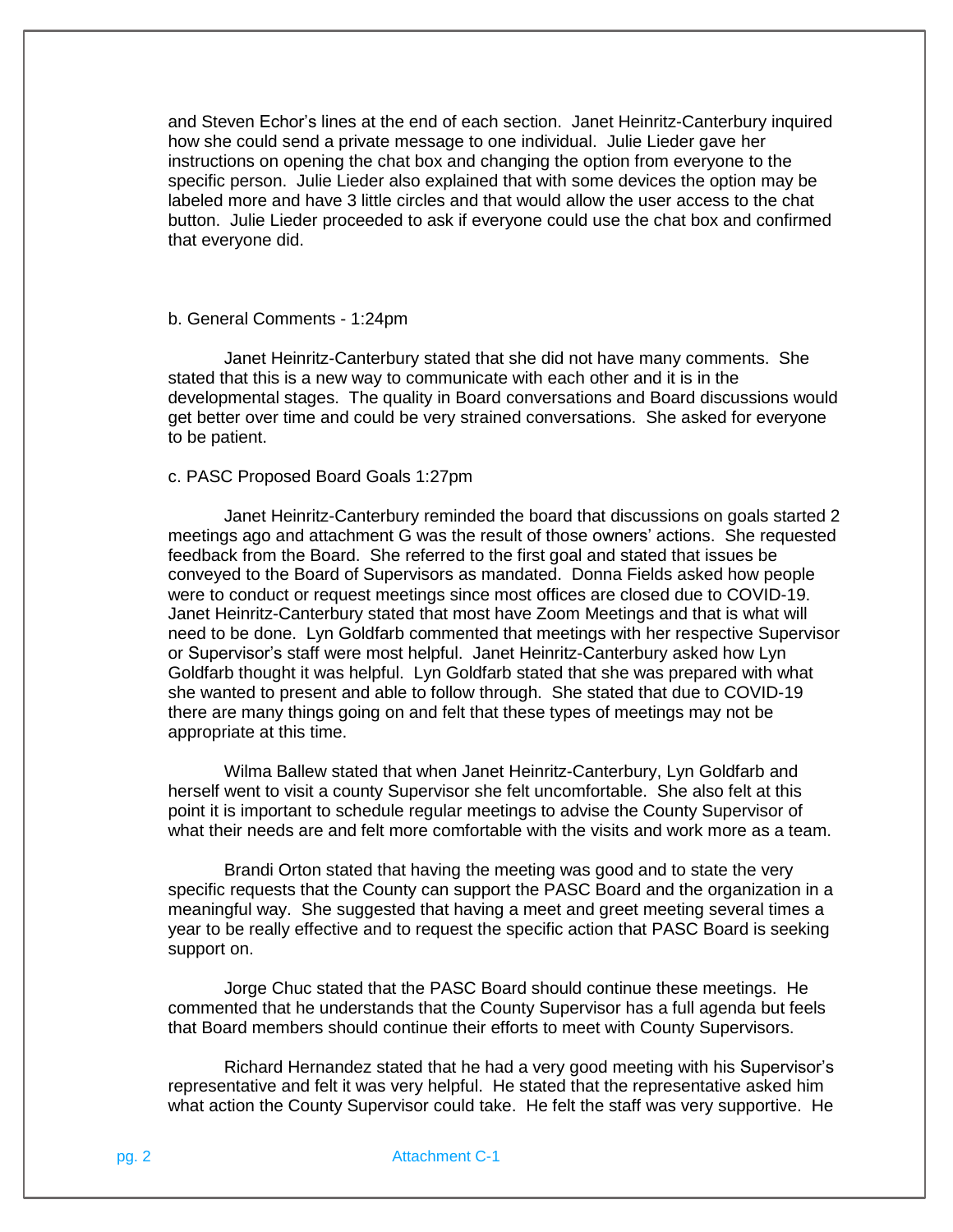and Steven Echor's lines at the end of each section. Janet Heinritz-Canterbury inquired how she could send a private message to one individual. Julie Lieder gave her instructions on opening the chat box and changing the option from everyone to the specific person. Julie Lieder also explained that with some devices the option may be labeled more and have 3 little circles and that would allow the user access to the chat button. Julie Lieder proceeded to ask if everyone could use the chat box and confirmed that everyone did.

## b. General Comments - 1:24pm

Janet Heinritz-Canterbury stated that she did not have many comments. She stated that this is a new way to communicate with each other and it is in the developmental stages. The quality in Board conversations and Board discussions would get better over time and could be very strained conversations. She asked for everyone to be patient.

#### c. PASC Proposed Board Goals 1:27pm

Janet Heinritz-Canterbury reminded the board that discussions on goals started 2 meetings ago and attachment G was the result of those owners' actions. She requested feedback from the Board. She referred to the first goal and stated that issues be conveyed to the Board of Supervisors as mandated. Donna Fields asked how people were to conduct or request meetings since most offices are closed due to COVID-19. Janet Heinritz-Canterbury stated that most have Zoom Meetings and that is what will need to be done. Lyn Goldfarb commented that meetings with her respective Supervisor or Supervisor's staff were most helpful. Janet Heinritz-Canterbury asked how Lyn Goldfarb thought it was helpful. Lyn Goldfarb stated that she was prepared with what she wanted to present and able to follow through. She stated that due to COVID-19 there are many things going on and felt that these types of meetings may not be appropriate at this time.

Wilma Ballew stated that when Janet Heinritz-Canterbury, Lyn Goldfarb and herself went to visit a county Supervisor she felt uncomfortable. She also felt at this point it is important to schedule regular meetings to advise the County Supervisor of what their needs are and felt more comfortable with the visits and work more as a team.

Brandi Orton stated that having the meeting was good and to state the very specific requests that the County can support the PASC Board and the organization in a meaningful way. She suggested that having a meet and greet meeting several times a year to be really effective and to request the specific action that PASC Board is seeking support on.

Jorge Chuc stated that the PASC Board should continue these meetings. He commented that he understands that the County Supervisor has a full agenda but feels that Board members should continue their efforts to meet with County Supervisors.

Richard Hernandez stated that he had a very good meeting with his Supervisor's representative and felt it was very helpful. He stated that the representative asked him what action the County Supervisor could take. He felt the staff was very supportive. He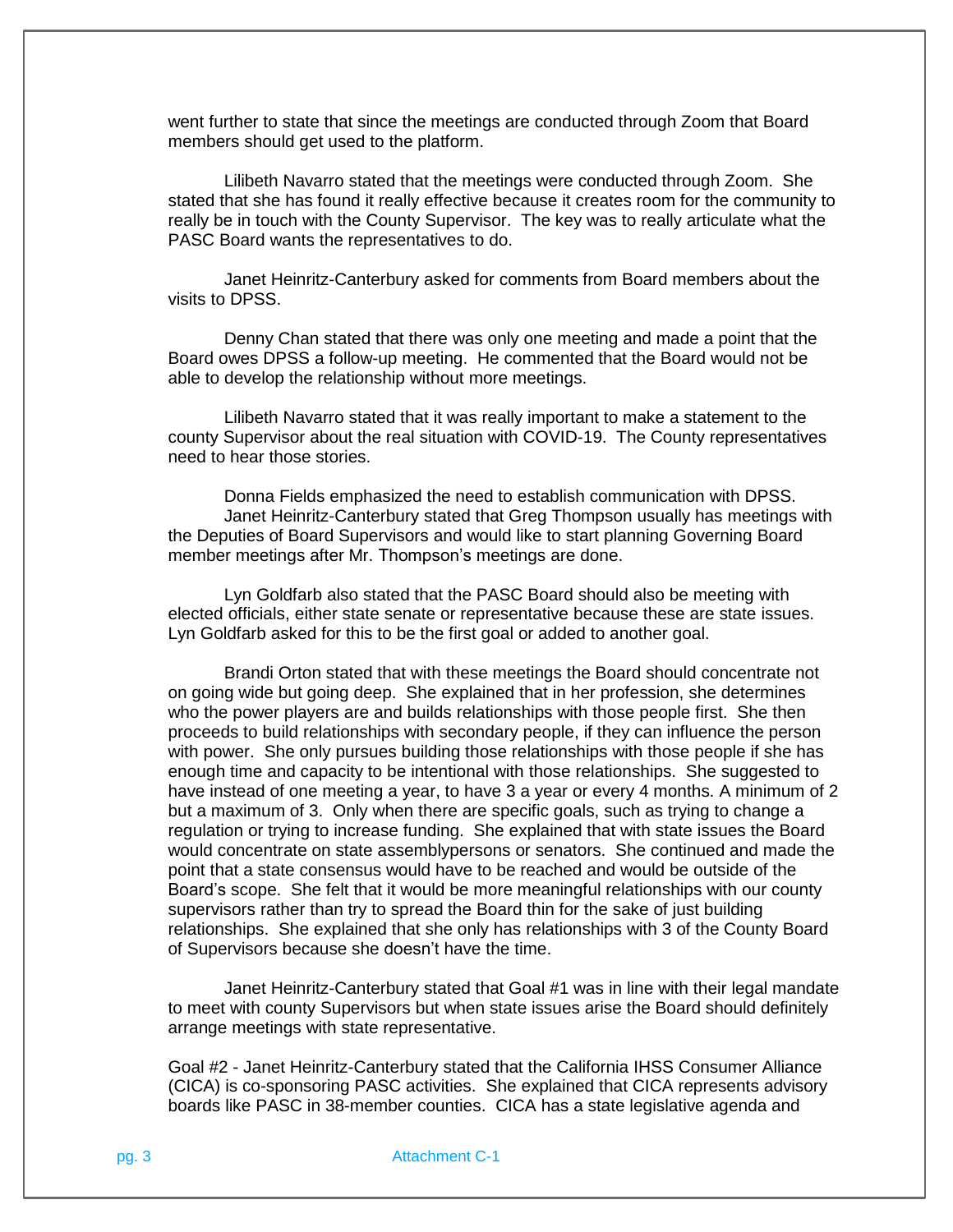went further to state that since the meetings are conducted through Zoom that Board members should get used to the platform.

Lilibeth Navarro stated that the meetings were conducted through Zoom. She stated that she has found it really effective because it creates room for the community to really be in touch with the County Supervisor. The key was to really articulate what the PASC Board wants the representatives to do.

Janet Heinritz-Canterbury asked for comments from Board members about the visits to DPSS.

Denny Chan stated that there was only one meeting and made a point that the Board owes DPSS a follow-up meeting. He commented that the Board would not be able to develop the relationship without more meetings.

Lilibeth Navarro stated that it was really important to make a statement to the county Supervisor about the real situation with COVID-19. The County representatives need to hear those stories.

Donna Fields emphasized the need to establish communication with DPSS. Janet Heinritz-Canterbury stated that Greg Thompson usually has meetings with the Deputies of Board Supervisors and would like to start planning Governing Board member meetings after Mr. Thompson's meetings are done.

Lyn Goldfarb also stated that the PASC Board should also be meeting with elected officials, either state senate or representative because these are state issues. Lyn Goldfarb asked for this to be the first goal or added to another goal.

Brandi Orton stated that with these meetings the Board should concentrate not on going wide but going deep. She explained that in her profession, she determines who the power players are and builds relationships with those people first. She then proceeds to build relationships with secondary people, if they can influence the person with power. She only pursues building those relationships with those people if she has enough time and capacity to be intentional with those relationships. She suggested to have instead of one meeting a year, to have 3 a year or every 4 months. A minimum of 2 but a maximum of 3. Only when there are specific goals, such as trying to change a regulation or trying to increase funding. She explained that with state issues the Board would concentrate on state assemblypersons or senators. She continued and made the point that a state consensus would have to be reached and would be outside of the Board's scope. She felt that it would be more meaningful relationships with our county supervisors rather than try to spread the Board thin for the sake of just building relationships. She explained that she only has relationships with 3 of the County Board of Supervisors because she doesn't have the time.

Janet Heinritz-Canterbury stated that Goal #1 was in line with their legal mandate to meet with county Supervisors but when state issues arise the Board should definitely arrange meetings with state representative.

Goal #2 - Janet Heinritz-Canterbury stated that the California IHSS Consumer Alliance (CICA) is co-sponsoring PASC activities. She explained that CICA represents advisory boards like PASC in 38-member counties. CICA has a state legislative agenda and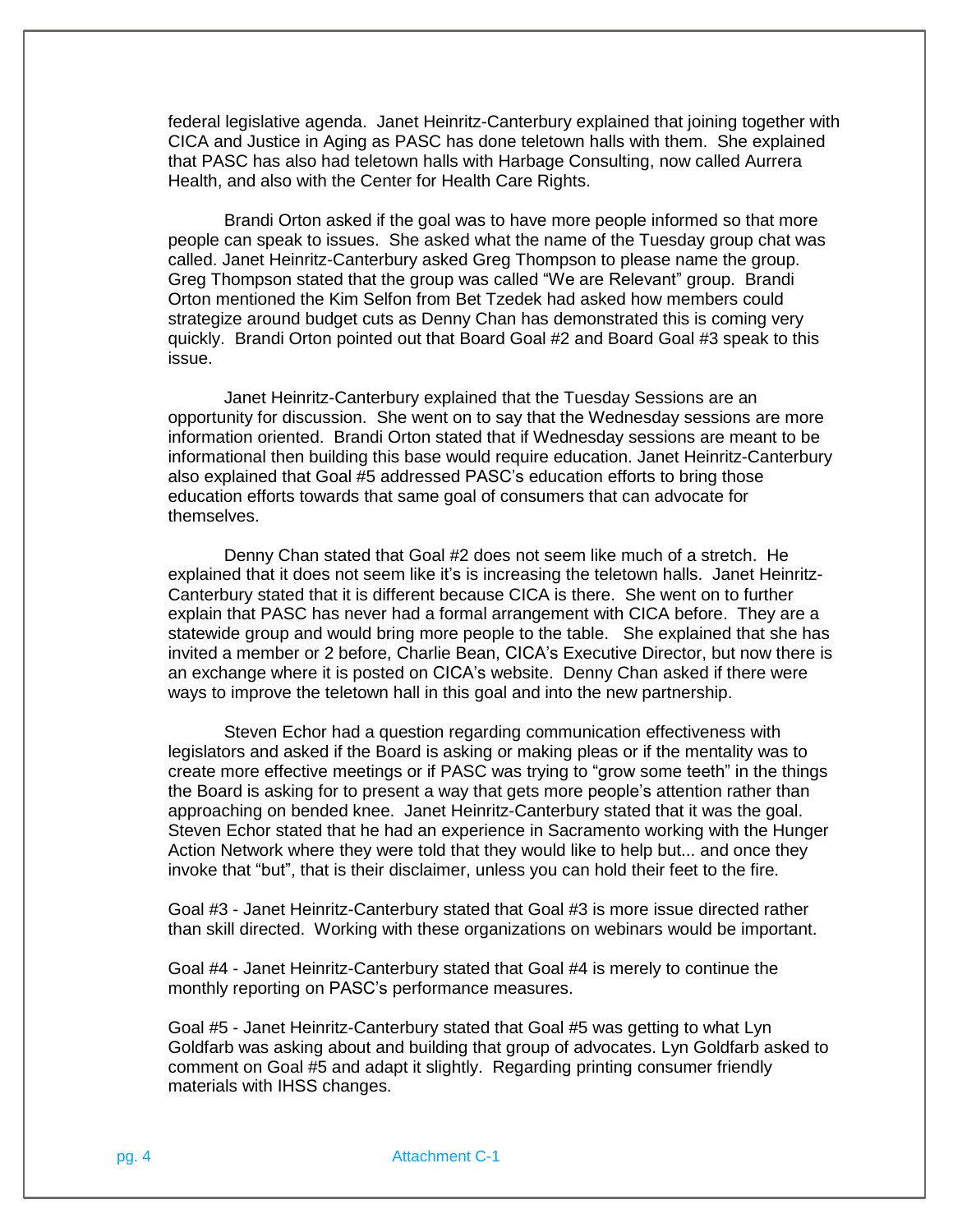federal legislative agenda. Janet Heinritz-Canterbury explained that joining together with CICA and Justice in Aging as PASC has done teletown halls with them. She explained that PASC has also had teletown halls with Harbage Consulting, now called Aurrera Health, and also with the Center for Health Care Rights.

Brandi Orton asked if the goal was to have more people informed so that more people can speak to issues. She asked what the name of the Tuesday group chat was called. Janet Heinritz-Canterbury asked Greg Thompson to please name the group. Greg Thompson stated that the group was called "We are Relevant" group. Brandi Orton mentioned the Kim Selfon from Bet Tzedek had asked how members could strategize around budget cuts as Denny Chan has demonstrated this is coming very quickly. Brandi Orton pointed out that Board Goal #2 and Board Goal #3 speak to this issue.

Janet Heinritz-Canterbury explained that the Tuesday Sessions are an opportunity for discussion. She went on to say that the Wednesday sessions are more information oriented. Brandi Orton stated that if Wednesday sessions are meant to be informational then building this base would require education. Janet Heinritz-Canterbury also explained that Goal #5 addressed PASC's education efforts to bring those education efforts towards that same goal of consumers that can advocate for themselves.

Denny Chan stated that Goal #2 does not seem like much of a stretch. He explained that it does not seem like it's is increasing the teletown halls. Janet Heinritz-Canterbury stated that it is different because CICA is there. She went on to further explain that PASC has never had a formal arrangement with CICA before. They are a statewide group and would bring more people to the table. She explained that she has invited a member or 2 before, Charlie Bean, CICA's Executive Director, but now there is an exchange where it is posted on CICA's website. Denny Chan asked if there were ways to improve the teletown hall in this goal and into the new partnership.

Steven Echor had a question regarding communication effectiveness with legislators and asked if the Board is asking or making pleas or if the mentality was to create more effective meetings or if PASC was trying to "grow some teeth" in the things the Board is asking for to present a way that gets more people's attention rather than approaching on bended knee. Janet Heinritz-Canterbury stated that it was the goal. Steven Echor stated that he had an experience in Sacramento working with the Hunger Action Network where they were told that they would like to help but... and once they invoke that "but", that is their disclaimer, unless you can hold their feet to the fire.

Goal #3 - Janet Heinritz-Canterbury stated that Goal #3 is more issue directed rather than skill directed. Working with these organizations on webinars would be important.

Goal #4 - Janet Heinritz-Canterbury stated that Goal #4 is merely to continue the monthly reporting on PASC's performance measures.

Goal #5 - Janet Heinritz-Canterbury stated that Goal #5 was getting to what Lyn Goldfarb was asking about and building that group of advocates. Lyn Goldfarb asked to comment on Goal #5 and adapt it slightly. Regarding printing consumer friendly materials with IHSS changes.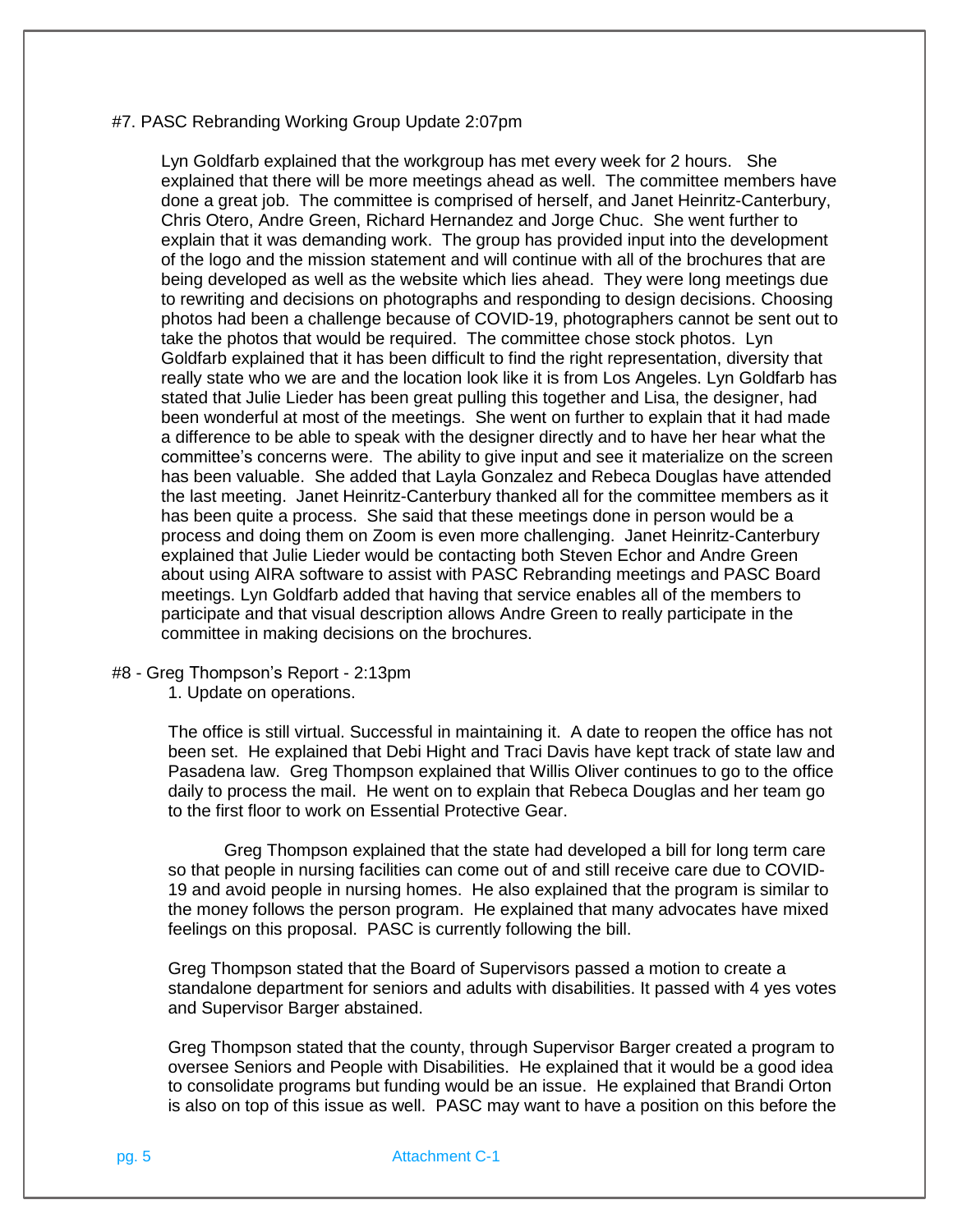## #7. PASC Rebranding Working Group Update 2:07pm

Lyn Goldfarb explained that the workgroup has met every week for 2 hours. She explained that there will be more meetings ahead as well. The committee members have done a great job. The committee is comprised of herself, and Janet Heinritz-Canterbury, Chris Otero, Andre Green, Richard Hernandez and Jorge Chuc. She went further to explain that it was demanding work. The group has provided input into the development of the logo and the mission statement and will continue with all of the brochures that are being developed as well as the website which lies ahead. They were long meetings due to rewriting and decisions on photographs and responding to design decisions. Choosing photos had been a challenge because of COVID-19, photographers cannot be sent out to take the photos that would be required. The committee chose stock photos. Lyn Goldfarb explained that it has been difficult to find the right representation, diversity that really state who we are and the location look like it is from Los Angeles. Lyn Goldfarb has stated that Julie Lieder has been great pulling this together and Lisa, the designer, had been wonderful at most of the meetings. She went on further to explain that it had made a difference to be able to speak with the designer directly and to have her hear what the committee's concerns were. The ability to give input and see it materialize on the screen has been valuable. She added that Layla Gonzalez and Rebeca Douglas have attended the last meeting. Janet Heinritz-Canterbury thanked all for the committee members as it has been quite a process. She said that these meetings done in person would be a process and doing them on Zoom is even more challenging. Janet Heinritz-Canterbury explained that Julie Lieder would be contacting both Steven Echor and Andre Green about using AIRA software to assist with PASC Rebranding meetings and PASC Board meetings. Lyn Goldfarb added that having that service enables all of the members to participate and that visual description allows Andre Green to really participate in the committee in making decisions on the brochures.

### #8 - Greg Thompson's Report - 2:13pm

1. Update on operations.

The office is still virtual. Successful in maintaining it. A date to reopen the office has not been set. He explained that Debi Hight and Traci Davis have kept track of state law and Pasadena law. Greg Thompson explained that Willis Oliver continues to go to the office daily to process the mail. He went on to explain that Rebeca Douglas and her team go to the first floor to work on Essential Protective Gear.

Greg Thompson explained that the state had developed a bill for long term care so that people in nursing facilities can come out of and still receive care due to COVID-19 and avoid people in nursing homes. He also explained that the program is similar to the money follows the person program. He explained that many advocates have mixed feelings on this proposal. PASC is currently following the bill.

Greg Thompson stated that the Board of Supervisors passed a motion to create a standalone department for seniors and adults with disabilities. It passed with 4 yes votes and Supervisor Barger abstained.

Greg Thompson stated that the county, through Supervisor Barger created a program to oversee Seniors and People with Disabilities. He explained that it would be a good idea to consolidate programs but funding would be an issue. He explained that Brandi Orton is also on top of this issue as well. PASC may want to have a position on this before the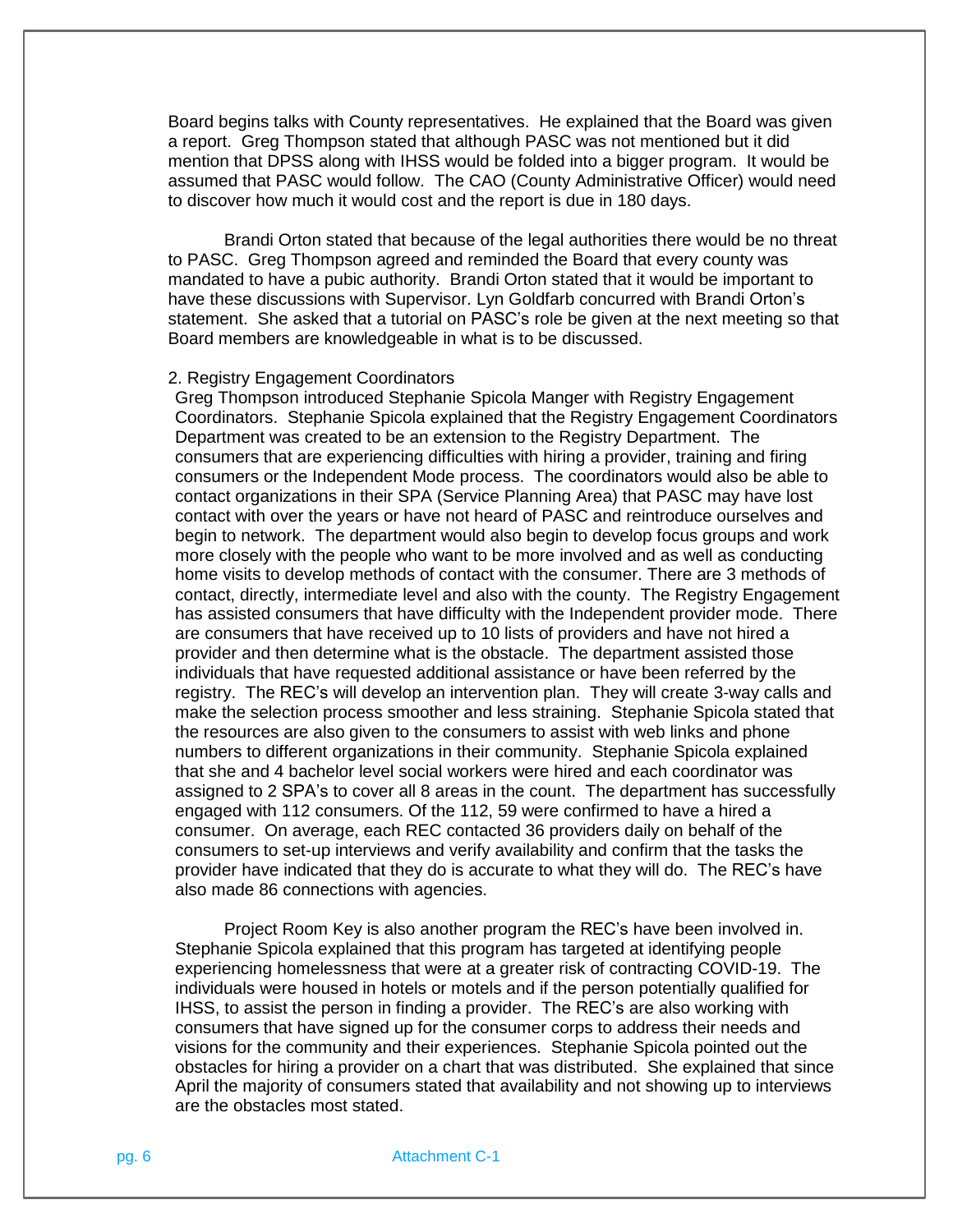Board begins talks with County representatives. He explained that the Board was given a report. Greg Thompson stated that although PASC was not mentioned but it did mention that DPSS along with IHSS would be folded into a bigger program. It would be assumed that PASC would follow. The CAO (County Administrative Officer) would need to discover how much it would cost and the report is due in 180 days.

Brandi Orton stated that because of the legal authorities there would be no threat to PASC. Greg Thompson agreed and reminded the Board that every county was mandated to have a pubic authority. Brandi Orton stated that it would be important to have these discussions with Supervisor. Lyn Goldfarb concurred with Brandi Orton's statement. She asked that a tutorial on PASC's role be given at the next meeting so that Board members are knowledgeable in what is to be discussed.

## 2. Registry Engagement Coordinators

Greg Thompson introduced Stephanie Spicola Manger with Registry Engagement Coordinators. Stephanie Spicola explained that the Registry Engagement Coordinators Department was created to be an extension to the Registry Department. The consumers that are experiencing difficulties with hiring a provider, training and firing consumers or the Independent Mode process. The coordinators would also be able to contact organizations in their SPA (Service Planning Area) that PASC may have lost contact with over the years or have not heard of PASC and reintroduce ourselves and begin to network. The department would also begin to develop focus groups and work more closely with the people who want to be more involved and as well as conducting home visits to develop methods of contact with the consumer. There are 3 methods of contact, directly, intermediate level and also with the county. The Registry Engagement has assisted consumers that have difficulty with the Independent provider mode. There are consumers that have received up to 10 lists of providers and have not hired a provider and then determine what is the obstacle. The department assisted those individuals that have requested additional assistance or have been referred by the registry. The REC's will develop an intervention plan. They will create 3-way calls and make the selection process smoother and less straining. Stephanie Spicola stated that the resources are also given to the consumers to assist with web links and phone numbers to different organizations in their community. Stephanie Spicola explained that she and 4 bachelor level social workers were hired and each coordinator was assigned to 2 SPA's to cover all 8 areas in the count. The department has successfully engaged with 112 consumers. Of the 112, 59 were confirmed to have a hired a consumer. On average, each REC contacted 36 providers daily on behalf of the consumers to set-up interviews and verify availability and confirm that the tasks the provider have indicated that they do is accurate to what they will do. The REC's have also made 86 connections with agencies.

Project Room Key is also another program the REC's have been involved in. Stephanie Spicola explained that this program has targeted at identifying people experiencing homelessness that were at a greater risk of contracting COVID-19. The individuals were housed in hotels or motels and if the person potentially qualified for IHSS, to assist the person in finding a provider. The REC's are also working with consumers that have signed up for the consumer corps to address their needs and visions for the community and their experiences. Stephanie Spicola pointed out the obstacles for hiring a provider on a chart that was distributed. She explained that since April the majority of consumers stated that availability and not showing up to interviews are the obstacles most stated.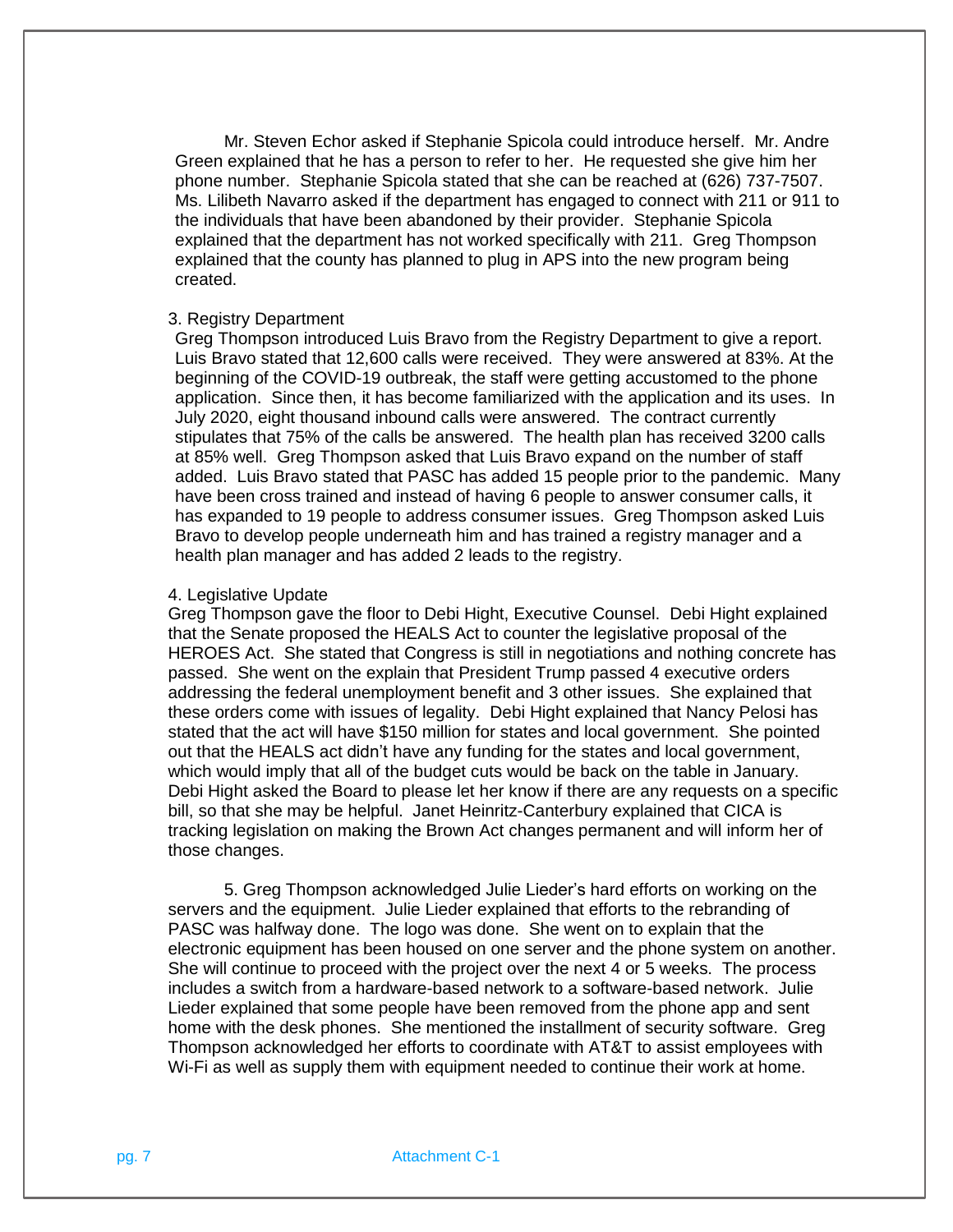Mr. Steven Echor asked if Stephanie Spicola could introduce herself. Mr. Andre Green explained that he has a person to refer to her. He requested she give him her phone number. Stephanie Spicola stated that she can be reached at (626) 737-7507. Ms. Lilibeth Navarro asked if the department has engaged to connect with 211 or 911 to the individuals that have been abandoned by their provider. Stephanie Spicola explained that the department has not worked specifically with 211. Greg Thompson explained that the county has planned to plug in APS into the new program being created.

## 3. Registry Department

Greg Thompson introduced Luis Bravo from the Registry Department to give a report. Luis Bravo stated that 12,600 calls were received. They were answered at 83%. At the beginning of the COVID-19 outbreak, the staff were getting accustomed to the phone application. Since then, it has become familiarized with the application and its uses. In July 2020, eight thousand inbound calls were answered. The contract currently stipulates that 75% of the calls be answered. The health plan has received 3200 calls at 85% well. Greg Thompson asked that Luis Bravo expand on the number of staff added. Luis Bravo stated that PASC has added 15 people prior to the pandemic. Many have been cross trained and instead of having 6 people to answer consumer calls, it has expanded to 19 people to address consumer issues. Greg Thompson asked Luis Bravo to develop people underneath him and has trained a registry manager and a health plan manager and has added 2 leads to the registry.

#### 4. Legislative Update

Greg Thompson gave the floor to Debi Hight, Executive Counsel. Debi Hight explained that the Senate proposed the HEALS Act to counter the legislative proposal of the HEROES Act. She stated that Congress is still in negotiations and nothing concrete has passed. She went on the explain that President Trump passed 4 executive orders addressing the federal unemployment benefit and 3 other issues. She explained that these orders come with issues of legality. Debi Hight explained that Nancy Pelosi has stated that the act will have \$150 million for states and local government. She pointed out that the HEALS act didn't have any funding for the states and local government, which would imply that all of the budget cuts would be back on the table in January. Debi Hight asked the Board to please let her know if there are any requests on a specific bill, so that she may be helpful. Janet Heinritz-Canterbury explained that CICA is tracking legislation on making the Brown Act changes permanent and will inform her of those changes.

5. Greg Thompson acknowledged Julie Lieder's hard efforts on working on the servers and the equipment. Julie Lieder explained that efforts to the rebranding of PASC was halfway done. The logo was done. She went on to explain that the electronic equipment has been housed on one server and the phone system on another. She will continue to proceed with the project over the next 4 or 5 weeks. The process includes a switch from a hardware-based network to a software-based network. Julie Lieder explained that some people have been removed from the phone app and sent home with the desk phones. She mentioned the installment of security software. Greg Thompson acknowledged her efforts to coordinate with AT&T to assist employees with Wi-Fi as well as supply them with equipment needed to continue their work at home.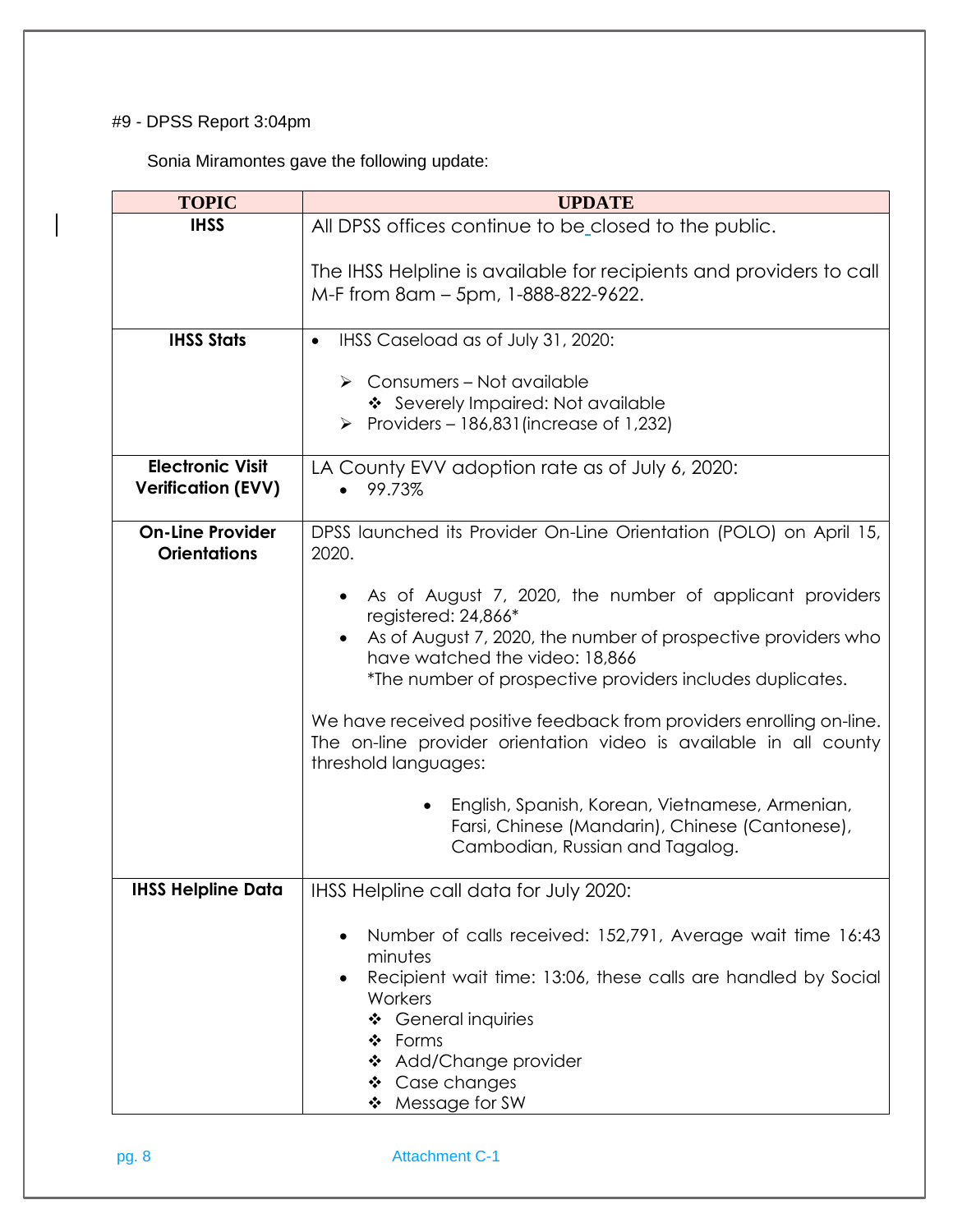# #9 - DPSS Report 3:04pm

Sonia Miramontes gave the following update:

| <b>TOPIC</b>                                         | <b>UPDATE</b>                                                                                                                                                                     |
|------------------------------------------------------|-----------------------------------------------------------------------------------------------------------------------------------------------------------------------------------|
| <b>IHSS</b>                                          | All DPSS offices continue to be closed to the public.                                                                                                                             |
|                                                      | The IHSS Helpline is available for recipients and providers to call<br>M-F from 8am - 5pm, 1-888-822-9622.                                                                        |
| <b>IHSS Stats</b>                                    | IHSS Caseload as of July 31, 2020:<br>$\bullet$                                                                                                                                   |
|                                                      | Consumers - Not available<br>➤<br>❖ Severely Impaired: Not available<br>Providers – 186,831 (increase of 1,232)<br>➤                                                              |
| <b>Electronic Visit</b><br><b>Verification (EVV)</b> | LA County EVV adoption rate as of July 6, 2020:<br>99.73%<br>$\bullet$                                                                                                            |
| <b>On-Line Provider</b><br><b>Orientations</b>       | DPSS launched its Provider On-Line Orientation (POLO) on April 15,<br>2020.                                                                                                       |
|                                                      | As of August 7, 2020, the number of applicant providers<br>registered: 24,866*<br>As of August 7, 2020, the number of prospective providers who<br>have watched the video: 18,866 |
|                                                      | *The number of prospective providers includes duplicates.                                                                                                                         |
|                                                      | We have received positive feedback from providers enrolling on-line.<br>The on-line provider orientation video is available in all county<br>threshold languages:                 |
|                                                      | English, Spanish, Korean, Vietnamese, Armenian,<br>Farsi, Chinese (Mandarin), Chinese (Cantonese),<br>Cambodian, Russian and Tagalog.                                             |
| <b>IHSS Helpline Data</b>                            | IHSS Helpline call data for July 2020:                                                                                                                                            |
|                                                      | Number of calls received: 152,791, Average wait time 16:43<br>minutes<br>Recipient wait time: 13:06, these calls are handled by Social<br>Workers<br>❖ General inquiries          |
|                                                      | ❖ Forms<br>❖ Add/Change provider<br>❖ Case changes<br>❖ Message for SW                                                                                                            |

pg. 8 Attachment C-1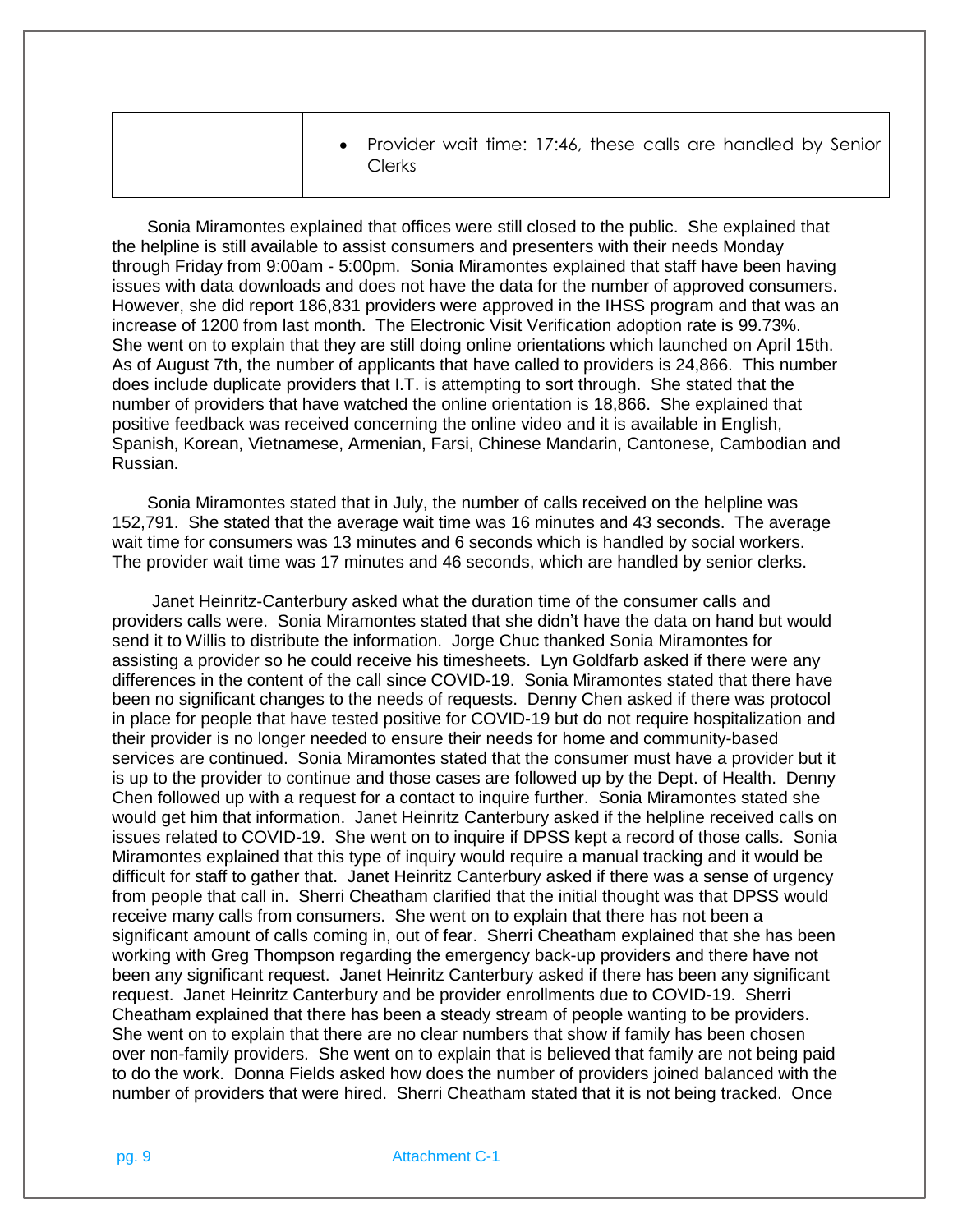Sonia Miramontes explained that offices were still closed to the public. She explained that the helpline is still available to assist consumers and presenters with their needs Monday through Friday from 9:00am - 5:00pm. Sonia Miramontes explained that staff have been having issues with data downloads and does not have the data for the number of approved consumers. However, she did report 186,831 providers were approved in the IHSS program and that was an increase of 1200 from last month. The Electronic Visit Verification adoption rate is 99.73%. She went on to explain that they are still doing online orientations which launched on April 15th. As of August 7th, the number of applicants that have called to providers is 24,866. This number does include duplicate providers that I.T. is attempting to sort through. She stated that the number of providers that have watched the online orientation is 18,866. She explained that positive feedback was received concerning the online video and it is available in English, Spanish, Korean, Vietnamese, Armenian, Farsi, Chinese Mandarin, Cantonese, Cambodian and Russian.

Sonia Miramontes stated that in July, the number of calls received on the helpline was 152,791. She stated that the average wait time was 16 minutes and 43 seconds. The average wait time for consumers was 13 minutes and 6 seconds which is handled by social workers. The provider wait time was 17 minutes and 46 seconds, which are handled by senior clerks.

Janet Heinritz-Canterbury asked what the duration time of the consumer calls and providers calls were. Sonia Miramontes stated that she didn't have the data on hand but would send it to Willis to distribute the information. Jorge Chuc thanked Sonia Miramontes for assisting a provider so he could receive his timesheets. Lyn Goldfarb asked if there were any differences in the content of the call since COVID-19. Sonia Miramontes stated that there have been no significant changes to the needs of requests. Denny Chen asked if there was protocol in place for people that have tested positive for COVID-19 but do not require hospitalization and their provider is no longer needed to ensure their needs for home and community-based services are continued. Sonia Miramontes stated that the consumer must have a provider but it is up to the provider to continue and those cases are followed up by the Dept. of Health. Denny Chen followed up with a request for a contact to inquire further. Sonia Miramontes stated she would get him that information. Janet Heinritz Canterbury asked if the helpline received calls on issues related to COVID-19. She went on to inquire if DPSS kept a record of those calls. Sonia Miramontes explained that this type of inquiry would require a manual tracking and it would be difficult for staff to gather that. Janet Heinritz Canterbury asked if there was a sense of urgency from people that call in. Sherri Cheatham clarified that the initial thought was that DPSS would receive many calls from consumers. She went on to explain that there has not been a significant amount of calls coming in, out of fear. Sherri Cheatham explained that she has been working with Greg Thompson regarding the emergency back-up providers and there have not been any significant request. Janet Heinritz Canterbury asked if there has been any significant request. Janet Heinritz Canterbury and be provider enrollments due to COVID-19. Sherri Cheatham explained that there has been a steady stream of people wanting to be providers. She went on to explain that there are no clear numbers that show if family has been chosen over non-family providers. She went on to explain that is believed that family are not being paid to do the work. Donna Fields asked how does the number of providers joined balanced with the number of providers that were hired. Sherri Cheatham stated that it is not being tracked. Once